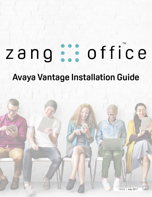# office zang

# **Avaya Vantage Installation Guide**

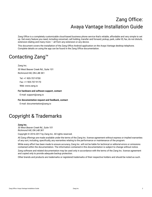# Zang Office: Avaya Vantage Installation Guide

Zang Office is a completely customizable cloud-based business phone service that's reliable, affordable and very simple to set up. Get every feature you need, including voicemail, call holding, transfer and forward, pickup, park, caller ID, fax, do not disturb, extension dialing and many more  $-$  all from any extension or any device.

This document covers the installation of the Zang Office Android application on the Avaya Vantage desktop telephone. Complete details on using the app can be found in the Zang Office documentation.

## Contacting Zang™

Zang Inc. 30 West Beaver Creek Rd., Suite 101 Richmond Hill, ON L4B 3K1

Tel: +1 905-707-9700 Fax: +1 905-707-9170 Web: www.zang.io

**For hardware and software support, contact**:

E-mail: support@zang.io

**For documentation request and feedback, contact**:

E-mail: documentation@zang.io

### Copyright & Trademarks

#### **Zang Inc.**

*30 West Beaver Creek Rd., Suite 101 Richmond Hill, ON L4B 3K1*

Copyright © 2016-2017 by Zang Inc. All rights reserved.

All Zang offerings are made available under the terms of the Zang Inc. license agreement without express or implied warranties of any sort, including, specifically, any warranties relating to the performance or maintenance of the program.

While every effort has been made to ensure accuracy, Zang Inc. will not be liable for technical or editorial errors or omissions contained within the documentation. The information contained in this documentation is subject to change without notice.

Zang software and related documentation may be used only in accordance with the terms of the Zang Inc. license agreement and copied only to provide adequate backup protection.

Other brands and products are trademarks or registered trademarks of their respective holders and should be noted as such.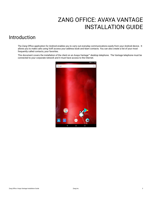# <span id="page-2-0"></span>ZANG OFFICE: AVAYA VANTAGE INSTALLATION GUIDE

### Introduction

The Zang Office application for Android enables you to carry out everyday communications easily from your Android device. It allows you to make calls using VoIP, access your address book and team contacts. You can also create a list of your most frequently called contacts; your favorites.

This document covers the installation of the client on an Avaya Vantage™ desktop telephone. The Vantage telephone must be connected to your corporate network and it must have access to the Internet.

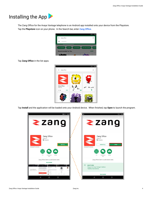# Installing the App

The Zang Office for the Avaya Vantage telephone is an Android app installed onto your device from the Playstore. Tap the **Playstore** icon on your phone. In the Search bar, enter **Zang Office**.

|                                          | 9:45                     |
|------------------------------------------|--------------------------|
| zang office<br>←                         | ×                        |
| Q<br>zang office                         |                          |
| TOP CHARTS<br><b>GAMES</b><br>CATEGORIES | EDITORS CHOICE<br>FAMILY |
|                                          |                          |
| <b>Recommended for You</b>               | MORE                     |

Tap **Zang Office** in the list apps.

| Zang Office         | $\cdot$ |  |  |
|---------------------|---------|--|--|
| Zang Inc.<br>$5.0*$ | FREE    |  |  |
|                     |         |  |  |

Tap **Install** and the application will be loaded onto your Android device. When finished, tap **Open** to launch the program.

| 洞 オ ←> 9:45<br>۰                                                                                                                                                                                                                                                                                                                             | v<br>$* \leftrightarrow 9:46$                                                                        |
|----------------------------------------------------------------------------------------------------------------------------------------------------------------------------------------------------------------------------------------------------------------------------------------------------------------------------------------------|------------------------------------------------------------------------------------------------------|
| ٠<br><b>≷zang</b>                                                                                                                                                                                                                                                                                                                            | <b>≷zang</b>                                                                                         |
| Zang Office<br>Zang Inc.<br>E Everyone<br><b>INSTALL</b><br>Designed for phones                                                                                                                                                                                                                                                              | Zang Office<br>Zang Inc.<br>E Everyone<br><b>OPEN</b><br><b>UNINSTALL</b><br>Designed for phones     |
| 2x<br>Similar<br>Communica-<br>tion<br>Zang Office Client is a soft phone client.                                                                                                                                                                                                                                                            | 5.0<br>$\cdots$<br>2x<br>Similar<br>Communica-<br>tion<br>Zang Office Client is a soft phone client. |
| <b>READ MORE</b><br>Learn on<br>sing in<br>i sang ci<br><b>AMERICA</b><br>Ajriha Yasmin.<br>Access everything<br>п<br><b><i><u>International</u></i></b><br>from one account.<br>Good Morning !!<br><b>APPROXIMAL</b><br>10. Service<br><b>VERES</b><br>- Day Mus<br>Please fingly to manage your carly<br>$-$<br>$2 - 1$<br><b>MAY</b><br>٠ | 萘<br><b>WHAT'S NEW</b><br>*Support for Avaya Vantage* platform<br>*Stability Improvements            |
| <b>Forting</b><br>$2 -$<br><b>A March 194</b><br>$\circ$<br>$\Box$<br>◁                                                                                                                                                                                                                                                                      | <b>READ MORE</b><br>$\triangleleft$<br>$\circ$<br>$\Box$                                             |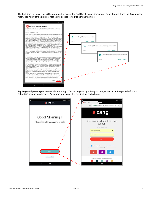The first time you login, you will be prompted to accept the End-User License Agreement. Read through it and tap **Accept** when ready. Tap **Allow** at the prompts requesting access to your telephone features.



Tap **Login** and provide your credentials to the app. You can login using a Zang account, or with your Google, Salesforce or Office 365 account credentials. An appropriate account is required for each choice.

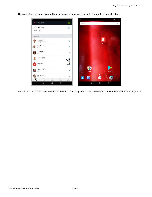The application will launch to your **Home** page, and an icon has been added to your telephone desktop.



For complete details on using the app, please refer to the Zang Office Client Guide chapter on the Android Client on page 115.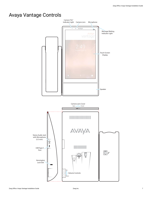## Avaya Vantage Controls